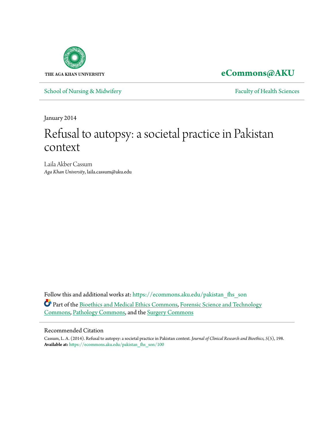

**[eCommons@AKU](https://ecommons.aku.edu?utm_source=ecommons.aku.edu%2Fpakistan_fhs_son%2F100&utm_medium=PDF&utm_campaign=PDFCoverPages)**

[School of Nursing & Midwifery](https://ecommons.aku.edu/pakistan_fhs_son?utm_source=ecommons.aku.edu%2Fpakistan_fhs_son%2F100&utm_medium=PDF&utm_campaign=PDFCoverPages) [Faculty of Health Sciences](https://ecommons.aku.edu/pakistan_fhs?utm_source=ecommons.aku.edu%2Fpakistan_fhs_son%2F100&utm_medium=PDF&utm_campaign=PDFCoverPages)

January 2014

# Refusal to autopsy: a societal practice in Pakistan context

Laila Akber Cassum *Aga Khan University*, laila.cassum@aku.edu

Follow this and additional works at: [https://ecommons.aku.edu/pakistan\\_fhs\\_son](https://ecommons.aku.edu/pakistan_fhs_son?utm_source=ecommons.aku.edu%2Fpakistan_fhs_son%2F100&utm_medium=PDF&utm_campaign=PDFCoverPages) Part of the [Bioethics and Medical Ethics Commons,](http://network.bepress.com/hgg/discipline/650?utm_source=ecommons.aku.edu%2Fpakistan_fhs_son%2F100&utm_medium=PDF&utm_campaign=PDFCoverPages) [Forensic Science and Technology](http://network.bepress.com/hgg/discipline/1277?utm_source=ecommons.aku.edu%2Fpakistan_fhs_son%2F100&utm_medium=PDF&utm_campaign=PDFCoverPages) [Commons,](http://network.bepress.com/hgg/discipline/1277?utm_source=ecommons.aku.edu%2Fpakistan_fhs_son%2F100&utm_medium=PDF&utm_campaign=PDFCoverPages) [Pathology Commons](http://network.bepress.com/hgg/discipline/699?utm_source=ecommons.aku.edu%2Fpakistan_fhs_son%2F100&utm_medium=PDF&utm_campaign=PDFCoverPages), and the [Surgery Commons](http://network.bepress.com/hgg/discipline/706?utm_source=ecommons.aku.edu%2Fpakistan_fhs_son%2F100&utm_medium=PDF&utm_campaign=PDFCoverPages)

# Recommended Citation

Cassum, L. A. (2014). Refusal to autopsy: a societal practice in Pakistan context. *Journal of Clinical Research and Bioethics, 5*(5), 198. **Available at:** [https://ecommons.aku.edu/pakistan\\_fhs\\_son/100](https://ecommons.aku.edu/pakistan_fhs_son/100)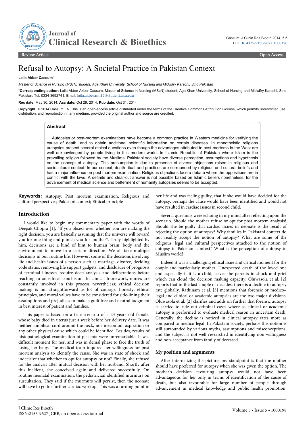

Review Article Open Access

# Refusal to Autopsy: A Societal Practice in Pakistan Context

#### **Laila Akber Cassum**\*

*Master of Science in Nursing (MScN) student, Aga Khan University, School of Nursing and Midwifry Karachi, Sind Pakistan*

\***Corresponding author:** Laila Akber Akber Cassum, Master of Science in Nursing (MScN) student, Aga Khan University, School of Nursing and Midwifry Karachi, Sind Pakistan, Tel: 0334-3692741; Email: [laila.akber.mn12@student.aku.edu](mailto:laila.akber.mn12@student.aku.edu)

**Rec date:** May 30, 2014, **Acc date:** Oct 29, 2014, **Pub date:** Oct 31, 2014

Copyright: © 2014 Cassum LA. This is an open-access article distributed under the terms of the Creative Commons Attribution License, which permits unrestricted use, distribution, and reproduction in any medium, provided the original author and source are credited.

### **Abstract**

Autopsies or post-mortem examinations have become a common practice in Western medicine for verifying the cause of death, and to obtain additional scientific information on certain diseases. In monotheistic religions autopsies present several ethical questions even though the advantages attributed to post-mortems in the West are well acknowledged by people living in this modern world. In Islamic Republic of Pakistan where Islam is the prevailing religion followed by the Muslims, Pakistani society have diverse perception, assumptions and hypothesis on the concept of autopsy. This presumption is due to presence of diverse objections raised in religious and sociocultural context. In our context, death ritual and practices are surrounded by religious and cultural beliefs and has a major influence on post mortem examination. Religious objections face a debate where the oppositions are in conflict with the laws. A definite and clear-cut answer is not possible based on Islamic beliefs nonetheless, for the advancement of medical science and betterment of humanity autopsies seems to be accepted.

**Keywords:** Autopsy; Post mortem examination; Religious and cultural perspectives; Pakistani context; Ethical principle

#### **Introduction**

I would like to begin my commentary paper with the words of Deepak Chopra [1], "If you obsess over whether you are making the right decision, you are basically assuming that the universe will reward you for one thing and punish you for another". Truly highlighted by him, decisions are a kind of hint to human brain, body and the environment to move in a certain direction. We all take multiple decisions in our routine life. However, some of the decisions involving life and health issues of a person such as marriage, divorce, deciding code status, removing life support gadgets, and disclosure of prognosis of terminal illnesses require deep analysis and deliberations before reaching to an ethical conclusion. In clinical framework, nurses are constantly involved in this process nevertheless; ethical decision making is not straightforward as lot of courage, honesty, ethical principles, and moral values have to be considered for side-lining their assumptions and prejudices to make a guilt free and neutral judgment in best interest of patient and families.

This paper is based on a true scenario of a 23 years old female, whose baby died in uterus just a week before her delivery date. It was neither umbilical cord around the neck, nor meconium aspiration or any other physical cause which could be identified. Besides, results of histopathological examination of placenta were unremarkable. It was difficult moment for her, and was in denial phase to face the truth of losing her baby. The medical team inquired her willingness for post mortem analysis to identify the cause. She was in state of shock and indecisive that whether to opt for autopsy or not? Finally, she refused for the analysis after mutual decision with her husband. Shortly after this incident, she conceived again and delivered successfully. On routine neonatal examination, the pediatrician identified murmurs on auscultation. They said if the murmurs will persist, then the neonate will have to go for further cardiac workup. This was a turning point in

her life and was feeling guilty, that if she would have decided for the autopsy, perhaps the cause would have been identified and would not have resulted in cardiac issues in second child.

Several questions were echoing in my mind after reflecting upon the scenario. Should the mother refuse or opt for post mortem analysis? Should she be guilty that cardiac issues in neonate is the result of rejecting the option of autopsy? Why families in Pakistani context do not readily accept the notion of autopsy? What are some of the religious, legal and cultural perspectives attached to the notion of autopsy in Pakistani context? What is the perception of autopsy in Muslim world?

Indeed it was a challenging ethical issue and critical moment for the couple and particularly mother. Unexpected death of the loved one and especially if it is a child, leaves the parents in shock and grief which can cloud the decision making capacity. Oluwasola et al. [2] reports that in the last couple of decades, there is a decline in autopsy rate globally. Rathinam et al. [3] mentions that forensic or medico– legal and clinical or academic autopsies are the two major divisions. Oluwasola et al. [2] clarifies and adds on further that forensic autopsy is carried to rule out criminal cases where as clinical or academic autopsy is performed to evaluate medical reason in uncertain death. Generally, the decline is noticed in clinical autopsy rates more as compared to medico-legal. In Pakistani society, perhaps this notion is still surrounded by various myths, assumptions and misconceptions, and the subject is not well researched in identifying non-willingness and non-acceptance from family of deceased.

#### **My position and arguments**

After internalizing the picture, my standpoint is that the mother should have preferred for autopsy when she was given the option. The mother's decision favouring autopsy would not have been advantageous for her only in terms of identification of the cause of death, but also favourable for large number of people through advancement in medical knowledge and public health promotion.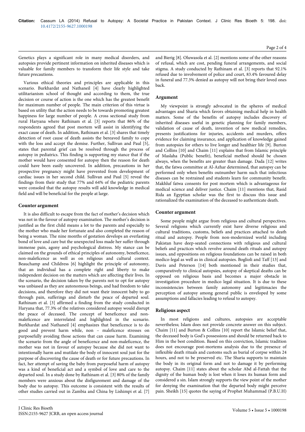Genetics plays a significant role in many medical disorders, and autopsies provide pertinent information on inherited diseases which is valuable for family members to transform their life style and take future precautions.

Various ethical theories and principles are applicable in this scenario. Burkhardat and Nathaneil [4] have clearly highlighted utilitarianism school of thought and according to them, the true decision or course of action is the one which has the greatest benefit for maximum number of people. The main criterion of this virtue is based on utility that the action needs to be towards promoting greatest happiness for large number of people. A cross sectional study from rural Haryana where Rathinam et al. [3] reports that 86% of the respondents agreed that post mortem will assist in identifying the exact cause of death. In addition, Rathinam et al. [3] shares that timely detection of root cause of death assists the bereaved family to cope with the loss and accept the demise. Further, Sullivan and Paul [5], states that parental grief can be resolved through the process of autopsy in pediatrics. This finding is supporting my stance that if the mother would have consented for autopsy then the reason for death could have been easily uncovered. In addition, precautions in her prospective pregnancy might have prevented from development of cardiac issues in her second child. Sullivan and Paul [5] reveal the findings from their study that 77% and 64% of the pediatric parents were consoled that the autopsy results will add knowledge in medical field and will be beneficial for the people at large.

#### **Counter argument**

It is also difficult to escape from the fact of mother's decision which was not in the favour of autopsy examination. The mother's decision is justified as the first child means a lot to the parents and especially to the mother who made her fortunate and also completed the reason of being a woman. The nine months of gestation develops an everlasting bond of love and care but the unexpected loss made her suffer through immense pain, agony and psychological distress. My stance can be claimed on the grounds of ethical principles of autonomy, beneficence, non-maleficence as well as on religious and cultural context. Beauchamp and Childress [6] highlight the principle of autonomy, that an individual has a complete right and liberty to make independent decision on the matters which are affecting their lives. In the scenario, the decision taken by the parents not to opt for autopsy was unbiased as they are autonomous beings, and had freedom to take decisions, and therefore they did not want their innocent baby to go through pain, sufferings and disturb the peace of departed soul. Rathinam et al. [3] affirmed a finding from the study conducted in Haryana that, 77.3% of the relatives considered autopsy would disrupt the peace of deceased. The concept of beneficence and nonmaleficence are interrelated and highlighted in the scenario. Burkhardat and Nathaneil [4] emphasizes that beneficence is to do good and prevent harm while, non – maleficence stresses on purposefully avoiding those actions that can cause harm. Examining the scenario from the angle of beneficence and non-maleficence, the mother was not in favour of autopsy because she did not want to intentionally harm and mutilate the body of innocent soul just for the purpose of discovering the cause of death or for future precautions. In fact, her attempt of saving the baby from purposeful harm of autopsy was a kind of beneficial act and a symbol of love and care to the departed soul. In a study done by Rathinam et al. [3] 80% of the family members were anxious about the disfigurement and damage of the body due to autopsy. This outcome is consistent with the results of other studies carried out in Zambia and China by Lishimpi et al. [7]

and Bierig [8]. Oluwasola et al. [2] mentions some of the other reasons of refusal, which are cost, pending funeral arrangements, and social stigma. A study conducted by Rathinam et al. [3] reports that 92.1% refused due to involvement of police and court, 83.4% favoured delay in funeral and 77.3% denied as autopsy will not bring their loved ones back.

# **Argument**

My viewpoint is strongly advocated in the spheres of medical advantages and Sharia which favors obtaining medical help in health matters. Some of the benefits of autopsy includes discovery of inherited diseases useful in genetic planning for family members, validation of cause of death, invention of new medical remedies, presents justifications for injuries, accidents and murders, offers evidence for claiming insurance, and application of knowledge gained from autopsies for others to live longer and healthier life [9]. Burton and Collins [10] and Chaim [11] explains that from Islamic principle of Maslaha (Public benefit), beneficial method should be chosen always, when the benefits are greater than damage. Dada [12] writes that, the fatwa committee at Al-Azhar determined, that autopsy can be performed only when benefits outnumber harm such that infectious diseases can be restrained and students learn for community benefit. Makhluf fatwa consents for post mortem which is advantageous for medical science and deliver justice. Chaim [11] mentions that, Rasid Rida an Egyptian scholar was the first to discuss this issue and rationalized the examination of the deceased to authenticate death.

# **Counter argument**

Some people might argue from religious and cultural perspectives. Several religions which currently exist have diverse religious and cultural traditions, customs, beliefs and practices attached to death ritual and autopsy. People from non-modernized world including Pakistan have deep-seated connections with religious and cultural beliefs and practices which revolve around death rituals and autopsy issues, and oppositions on religious foundations can be raised in both medico-legal as well as in clinical autopsies. Boglioli and Taff [13] and Davis and Peterson [14] both mentioned in their studies that, comparatively to clinical autopsies, autopsy of skeptical deaths can be opposed on religious basis and becomes a major obstacle in investigation procedure in medico legal situation. It is due to these inconsistencies between family autonomy and legitimacies the perception of autopsy among general public is enveloped by some assumptions and fallacies leading to refusal to autopsy.

## **Religious aspect**

In most religions and cultures, autopsies are acceptable nevertheless; Islam does not provide concrete answer on this subject. Chaim [11] and Burton & Collins [10] report the Islamic belief that, the deceased body is God's possessions and should be returned back to Him in the best condition. Based on this conviction, Islamic tradition does not encourage post-mortems analysis due to the presence of inflexible death rituals and customs such as burial of corpse within 24 hours, and not to be preserved etc. The Sharia supports to maintain the body in its original form and not to damage it by performing autopsy. Chaim [11] states about the scholar Abd al-Fattah that the dignity of the human body is lost when it loses its human form and considered a sin. Islam strongly supports the view point of the mother for denying the examination that the departed body might perceive pain. Sheikh [15] quotes the saying of Prophet Muhammad (P.B.U.H)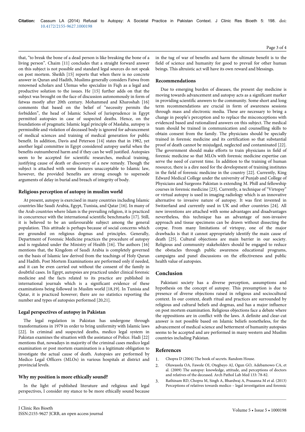that, "to break the bone of a dead person is like breaking the bone of a living person". Chaim [11] concludes that a straight forward answer on this subject is not possible and standard legal sources do not speak on post mortem. Sheikh [15] reports that when there is no concrete answer in Quran and Hadith, Muslims generally considers Fatwa from renowned scholars and Ulemas who specialize in Fiqh as a legal and productive solution to the issues. He [15] further adds on that the subject was brought on the face of discussion autonomously in form of fatwas mostly after 20th century. Mohammed and Kharoshah [16] comments that based on the belief of "necessity permits the forbidden", the head of Islamic School of Jurisprudence in Egypt permitted autopsies in case of suspected deaths. Hence, on the foundations of pragmatic Islamic legal principle of Maslaha, autopsy is permissible and violation of deceased body is ignored for advancement of medical sciences and training of medical generation for public benefit. In addition, Davis and Peterson [14] states that in 1982, yet another legal committee in Egypt considered autopsy useful when the benefits outnumbered harm and if they can be well justified. Autopsies seem to be accepted for scientific researches, medical training, justifying cause of death or discovery of a new remedy. Though the subject is attached with some features unacceptable to Islamic law, however, the provided benefits are strong enough to supersede arguments of delay in burial and breach of integrity of body.

### **Religious perception of autopsy in muslim world**

At present, autopsy is exercised in many countries including Islamic countries like Saudi Arabia, Egypt, Tunisia, and Qatar [16]. In many of the Arab countries where Islam is the prevailing religion, it is practiced in concurrence with the international scientific benchmarks [17]. Still, it is believed to be an unfavourable subject among the general population. This attitude is perhaps because of social concerns which are grounded on religious dogmas and principles. Generally, Department of Forensic Medicine practices the procedure of autopsy and is regulated under the Ministry of Health [16]. The authors [16] mentions that, the Kingdom of Saudi Arabia is completely governed on the basis of Islamic law derived from the teachings of Holy Quran and Hadith. Post Mortem Examinations are performed only if needed, and it can be even carried out without the consent of the family in doubtful cases. In Egypt, autopsies are practiced under clinical forensic medicine and the facts related to its practice are published in international journals which is a significant evidence of these examinations being followed in Muslim world [18,19]. In Tunisia and Qatar, it is practiced however; there are no statistics reporting the number and types of autopsies performed [20,21].

#### **Legal perspectives of autopsy in Pakistan**

The legal regulation in Pakistan has undergone through transformations in 1979 in order to bring uniformity with Islamic laws [22]. In criminal and suspected deaths, medico legal system in Pakistan examines the situation with the assistance of Police. Hadi [22] mentions that, nowadays in majority of the criminal cases medico legal examination or post mortem examination is a legitimate obligation to investigate the actual cause of death. Autopsies are performed by Medico Legal Officers (MLOs) in various hospitals at district and provincial levels.

#### **Why my position is more ethically sound?**

In the light of published literature and religious and legal perspectives, I consider my stance to be more ethically sound because Page 3 of 4

in the tug of war of benefits and harm the ultimate benefit is to the field of science and humanity for good to prevail for other human beings. This altruistic act will have its own reward and blessings.

### **Recommendations**

Due to emerging burden of diseases, the present day medicine is moving towards advancement and autopsy acts as a significant marker in providing scientific answers to the community. Some short and long term recommendations are crucial in form of awareness sessions through mass and electronic media. These are necessary to bring a change in people's perception and to replace the misconceptions with evidenced based and rationalized answers on this subject. The medical team should be trained in communication and counselling skills to obtain consent from the family. The physicians should be specially trained in forensic medicine and its certification so that substantial proof of death cannot be misjudged, neglected and contaminated [22]. The government should make efforts to train physicians in field of forensic medicine so that MLOs with forensic medicine expertise can serve the need of current time. In addition to the training of human resource, there is a dire need for the development of training institutes in the field of forensic medicine in the country [22]. Currently, King Edward Medical College under the university of Punjab and College of Physicians and Surgeons Pakistan is extending M. Phill and fellowship courses in forensic medicine [23]. Currently, a technique of "Virtopsy" or virtual autopsy is used in imaging radiology which is an innovative alternative to invasive nature of autopsy. It was first invented in Switzerland and currently used in UK and other countries [24]. All new inventions are attached with some advantages and disadvantages nevertheless, this technique has an advantage of non-invasive approach and tissue specimens can be drawn without dissecting the corpse. From many limitations of virtopsy, one of the major drawbacks is that it cannot appropriately identify the main cause of death [25]. Cultural objections are main barrier in our society. Religious and community stakeholders should be engaged to reduce the obstacles through public awareness educational programs, campaigns and panel discussions on the effectiveness and public health value of autopsies.

# **Conclusion**

Pakistani society has a diverse perception, assumptions and hypothesis on the concept of autopsy. This presumption is due to presence of diverse objections raised in religious and sociocultural context. In our context, death ritual and practices are surrounded by religious and cultural beliefs and dogmas, and has a major influence on post mortem examination. Religious objections face a debate where the oppositions are in conflict with the laws. A definite and clear-cut answer is not possible based on Islamic beliefs nonetheless, for the advancement of medical science and betterment of humanity autopsies seems to be accepted and are performed in many western and Muslim countries including Pakistan.

# **References**

- 1. Chopra D (2004) The book of secrets. Random House.
- 2. [Oluwasola OA, Fawole OI, Otegbayo AJ, Ogun GO, Adebamowo CA, et](http://www.ncbi.nlm.nih.gov/pubmed/19123741) [al. \(2009\) The autopsy: knowledge, attitude, and perceptions of doctors](http://www.ncbi.nlm.nih.gov/pubmed/19123741) [and relatives of the deceased. Arch Pathol Lab Med 133: 78-82.](http://www.ncbi.nlm.nih.gov/pubmed/19123741)
- 3. [Rathinam RD, Chopra M, Singh A, Bhardwaj A, Prasanna M et al. \(2013\)](http://www.jmedsoc.org/article.asp?issn=0972-4958;year=2013;volume=27;issue=3;spage=173;epage=176;aulast=Rathinam) [Perceptions of relatives towards medico – legal investigation and forensic](http://www.jmedsoc.org/article.asp?issn=0972-4958;year=2013;volume=27;issue=3;spage=173;epage=176;aulast=Rathinam)